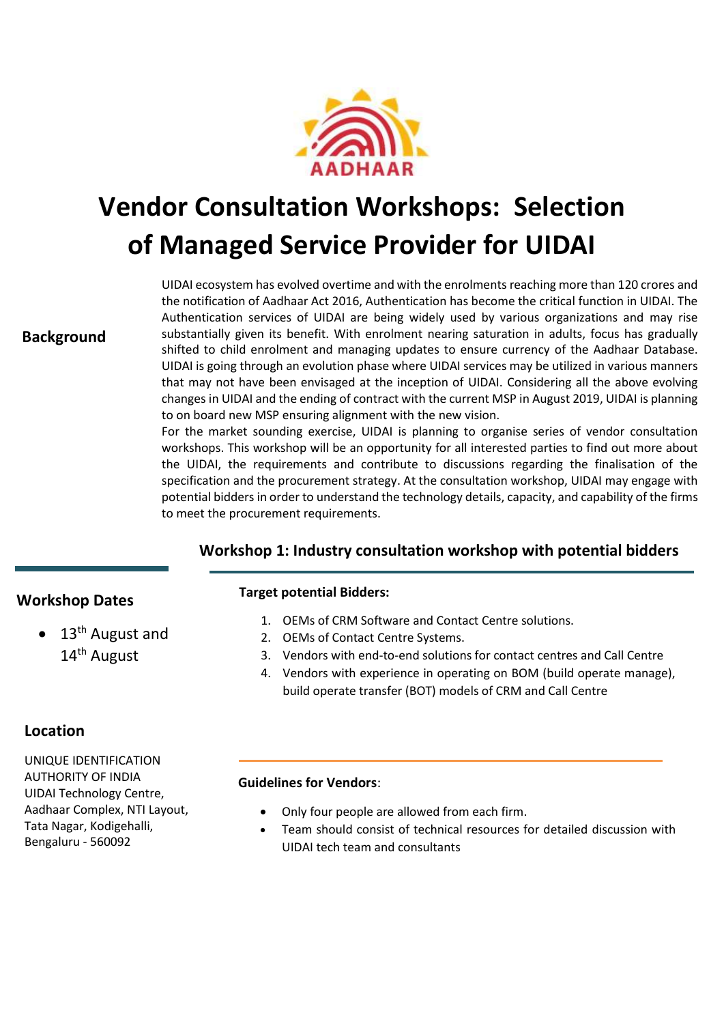

# **Vendor Consultation Workshops: Selection of Managed Service Provider for UIDAI**

**Background**

UIDAI ecosystem has evolved overtime and with the enrolments reaching more than 120 crores and the notification of Aadhaar Act 2016, Authentication has become the critical function in UIDAI. The Authentication services of UIDAI are being widely used by various organizations and may rise substantially given its benefit. With enrolment nearing saturation in adults, focus has gradually shifted to child enrolment and managing updates to ensure currency of the Aadhaar Database. UIDAI is going through an evolution phase where UIDAI services may be utilized in various manners that may not have been envisaged at the inception of UIDAI. Considering all the above evolving changes in UIDAI and the ending of contract with the current MSP in August 2019, UIDAI is planning to on board new MSP ensuring alignment with the new vision.

For the market sounding exercise, UIDAI is planning to organise series of vendor consultation workshops. This workshop will be an opportunity for all interested parties to find out more about the UIDAI, the requirements and contribute to discussions regarding the finalisation of the specification and the procurement strategy. At the consultation workshop, UIDAI may engage with potential bidders in order to understand the technology details, capacity, and capability of the firms to meet the procurement requirements.

## **Workshop 1: Industry consultation workshop with potential bidders**

## **Workshop Dates**

 $\bullet$  13<sup>th</sup> August and 14th August

### **Location**

UNIQUE IDENTIFICATION AUTHORITY OF INDIA UIDAI Technology Centre, Aadhaar Complex, NTI Layout, Tata Nagar, Kodigehalli, Bengaluru - 560092

#### **Target potential Bidders:**

- 1. OEMs of CRM Software and Contact Centre solutions.
- 2. OEMs of Contact Centre Systems.
- 3. Vendors with end-to-end solutions for contact centres and Call Centre
- 4. Vendors with experience in operating on BOM (build operate manage), build operate transfer (BOT) models of CRM and Call Centre

#### **Guidelines for Vendors**:

- Only four people are allowed from each firm.
- Team should consist of technical resources for detailed discussion with UIDAI tech team and consultants